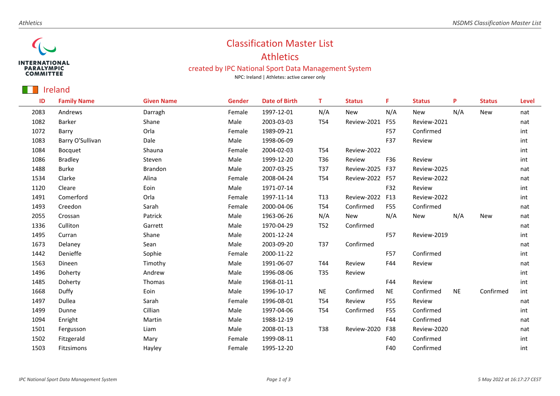

## Classification Master List

## Athletics

## created by IPC National Sport Data Management System

NPC: Ireland | Athletes: active career only

## Ireland

| ID   | <b>Family Name</b> | <b>Given Name</b> | <b>Gender</b> | <b>Date of Birth</b> | т               | <b>Status</b> | F          | <b>Status</b> | P         | <b>Status</b> | Level |
|------|--------------------|-------------------|---------------|----------------------|-----------------|---------------|------------|---------------|-----------|---------------|-------|
| 2083 | Andrews            | Darragh           | Female        | 1997-12-01           | N/A             | New           | N/A        | New           | N/A       | <b>New</b>    | nat   |
| 1082 | Barker             | Shane             | Male          | 2003-03-03           | T54             | Review-2021   | F55        | Review-2021   |           |               | nat   |
| 1072 | Barry              | Orla              | Female        | 1989-09-21           |                 |               | <b>F57</b> | Confirmed     |           |               | int   |
| 1083 | Barry O'Sullivan   | Dale              | Male          | 1998-06-09           |                 |               | F37        | Review        |           |               | int   |
| 1084 | <b>Bocquet</b>     | Shauna            | Female        | 2004-02-03           | T54             | Review-2022   |            |               |           |               | int   |
| 1086 | <b>Bradley</b>     | Steven            | Male          | 1999-12-20           | T36             | Review        | F36        | Review        |           |               | int   |
| 1488 | <b>Burke</b>       | Brandon           | Male          | 2007-03-25           | T37             | Review-2025   | F37        | Review-2025   |           |               | nat   |
| 1534 | Clarke             | Alina             | Female        | 2008-04-24           | T54             | Review-2022   | <b>F57</b> | Review-2022   |           |               | nat   |
| 1120 | Cleare             | Eoin              | Male          | 1971-07-14           |                 |               | F32        | Review        |           |               | int   |
| 1491 | Comerford          | Orla              | Female        | 1997-11-14           | T <sub>13</sub> | Review-2022   | F13        | Review-2022   |           |               | int   |
| 1493 | Creedon            | Sarah             | Female        | 2000-04-06           | T54             | Confirmed     | F55        | Confirmed     |           |               | nat   |
| 2055 | Crossan            | Patrick           | Male          | 1963-06-26           | N/A             | New           | N/A        | <b>New</b>    | N/A       | <b>New</b>    | nat   |
| 1336 | Culliton           | Garrett           | Male          | 1970-04-29           | T52             | Confirmed     |            |               |           |               | nat   |
| 1495 | Curran             | Shane             | Male          | 2001-12-24           |                 |               | F57        | Review-2019   |           |               | int   |
| 1673 | Delaney            | Sean              | Male          | 2003-09-20           | T37             | Confirmed     |            |               |           |               | nat   |
| 1442 | Denieffe           | Sophie            | Female        | 2000-11-22           |                 |               | F57        | Confirmed     |           |               | int   |
| 1563 | Dineen             | Timothy           | Male          | 1991-06-07           | T44             | Review        | F44        | Review        |           |               | nat   |
| 1496 | Doherty            | Andrew            | Male          | 1996-08-06           | T35             | Review        |            |               |           |               | int   |
| 1485 | Doherty            | Thomas            | Male          | 1968-01-11           |                 |               | F44        | Review        |           |               | int   |
| 1668 | Duffy              | Eoin              | Male          | 1996-10-17           | <b>NE</b>       | Confirmed     | <b>NE</b>  | Confirmed     | <b>NE</b> | Confirmed     | int   |
| 1497 | Dullea             | Sarah             | Female        | 1996-08-01           | T54             | Review        | F55        | Review        |           |               | nat   |
| 1499 | Dunne              | Cillian           | Male          | 1997-04-06           | T54             | Confirmed     | F55        | Confirmed     |           |               | int   |
| 1094 | Enright            | Martin            | Male          | 1988-12-19           |                 |               | F44        | Confirmed     |           |               | nat   |
| 1501 | Fergusson          | Liam              | Male          | 2008-01-13           | T38             | Review-2020   | F38        | Review-2020   |           |               | nat   |
| 1502 | Fitzgerald         | Mary              | Female        | 1999-08-11           |                 |               | F40        | Confirmed     |           |               | int   |
| 1503 | Fitzsimons         | Hayley            | Female        | 1995-12-20           |                 |               | F40        | Confirmed     |           |               | int   |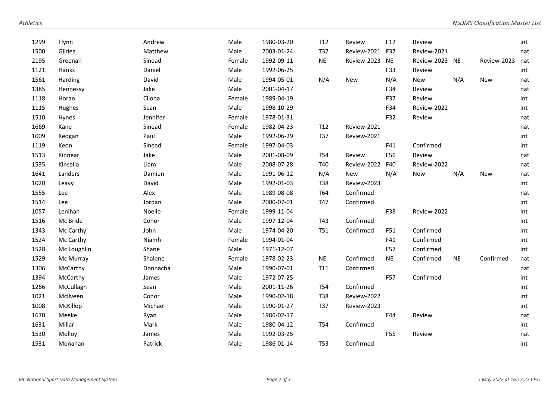| 1299 | Flynn       | Andrew   | Male   | 1980-03-20 | T12             | Review      | F12       | Review         |           |             | int |
|------|-------------|----------|--------|------------|-----------------|-------------|-----------|----------------|-----------|-------------|-----|
| 1500 | Gildea      | Matthew  | Male   | 2003-01-24 | T37             | Review-2021 | F37       | Review-2021    |           |             | nat |
| 2195 | Greenan     | Sinead   | Female | 1992-09-11 | <b>NE</b>       | Review-2023 | <b>NE</b> | Review-2023 NE |           | Review-2023 | nat |
| 1121 | Hanks       | Daniel   | Male   | 1992-06-25 |                 |             | F33       | Review         |           |             | int |
| 1561 | Harding     | David    | Male   | 1994-05-01 | N/A             | <b>New</b>  | N/A       | New            | N/A       | <b>New</b>  | nat |
| 1385 | Hennessy    | Jake     | Male   | 2001-04-17 |                 |             | F34       | Review         |           |             | nat |
| 1118 | Horan       | Cliona   | Female | 1989-04-19 |                 |             | F37       | Review         |           |             | int |
| 1115 | Hughes      | Sean     | Male   | 1998-10-29 |                 |             | F34       | Review-2022    |           |             | int |
| 1510 | Hynes       | Jennifer | Female | 1978-01-31 |                 |             | F32       | Review         |           |             | nat |
| 1669 | Kane        | Sinead   | Female | 1982-04-23 | T <sub>12</sub> | Review-2021 |           |                |           |             | nat |
| 1009 | Keogan      | Paul     | Male   | 1992-06-29 | T37             | Review-2021 |           |                |           |             | int |
| 1119 | Keon        | Sinead   | Female | 1997-04-03 |                 |             | F41       | Confirmed      |           |             | int |
| 1513 | Kinnear     | Jake     | Male   | 2001-08-09 | T54             | Review      | F56       | Review         |           |             | nat |
| 1535 | Kinsella    | Liam     | Male   | 2008-07-28 | T40             | Review-2022 | F40       | Review-2022    |           |             | nat |
| 1641 | Landers     | Damien   | Male   | 1991-06-12 | N/A             | <b>New</b>  | N/A       | <b>New</b>     | N/A       | <b>New</b>  | nat |
| 1020 | Leavy       | David    | Male   | 1992-01-03 | T38             | Review-2023 |           |                |           |             | int |
| 1555 | Lee         | Alex     | Male   | 1989-08-08 | T64             | Confirmed   |           |                |           |             | nat |
| 1514 | Lee         | Jordan   | Male   | 2000-07-01 | T47             | Confirmed   |           |                |           |             | int |
| 1057 | Lenihan     | Noelle   | Female | 1999-11-04 |                 |             | F38       | Review-2022    |           |             | int |
| 1516 | Mc Bride    | Conor    | Male   | 1997-12-04 | T43             | Confirmed   |           |                |           |             | int |
| 1343 | Mc Carthy   | John     | Male   | 1974-04-20 | T51             | Confirmed   | F51       | Confirmed      |           |             | int |
| 1524 | Mc Carthy   | Niamh    | Female | 1994-01-04 |                 |             | F41       | Confirmed      |           |             | int |
| 1528 | Mc Loughlin | Shane    | Male   | 1971-12-07 |                 |             | F57       | Confirmed      |           |             | int |
| 1529 | Mc Murray   | Shalene  | Female | 1978-02-23 | <b>NE</b>       | Confirmed   | <b>NE</b> | Confirmed      | <b>NE</b> | Confirmed   | nat |
| 1306 | McCarthy    | Donnacha | Male   | 1990-07-01 | T11             | Confirmed   |           |                |           |             | nat |
| 1394 | McCarthy    | James    | Male   | 1972-07-25 |                 |             | F57       | Confirmed      |           |             | int |
| 1266 | McCullagh   | Sean     | Male   | 2001-11-26 | T54             | Confirmed   |           |                |           |             | int |
| 1021 | McIlveen    | Conor    | Male   | 1990-02-18 | T38             | Review-2022 |           |                |           |             | int |
| 1008 | McKillop    | Michael  | Male   | 1990-01-27 | T37             | Review-2023 |           |                |           |             | int |
| 1670 | Meeke       | Ryan     | Male   | 1986-02-17 |                 |             | F44       | Review         |           |             | nat |
| 1631 | Millar      | Mark     | Male   | 1980-04-12 | T54             | Confirmed   |           |                |           |             | int |
| 1530 | Molloy      | James    | Male   | 1992-03-25 |                 |             | F55       | Review         |           |             | nat |
| 1531 | Monahan     | Patrick  | Male   | 1986-01-14 | <b>T53</b>      | Confirmed   |           |                |           |             | int |